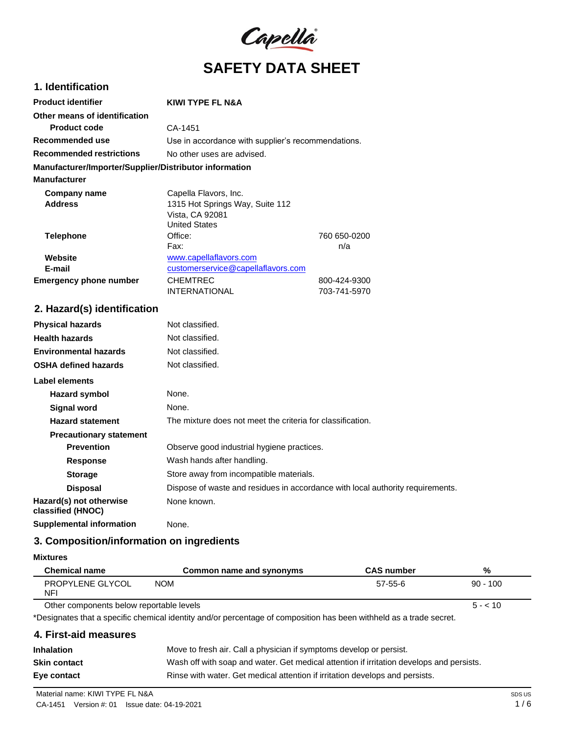

## **1. Identification**

| <b>Product identifier</b>                              | <b>KIWI TYPE FL N&amp;A</b>                        |              |
|--------------------------------------------------------|----------------------------------------------------|--------------|
| Other means of identification                          |                                                    |              |
| <b>Product code</b>                                    | CA-1451                                            |              |
| Recommended use                                        | Use in accordance with supplier's recommendations. |              |
| <b>Recommended restrictions</b>                        | No other uses are advised.                         |              |
| Manufacturer/Importer/Supplier/Distributor information |                                                    |              |
| <b>Manufacturer</b>                                    |                                                    |              |
| Company name                                           | Capella Flavors, Inc.                              |              |
| <b>Address</b>                                         | 1315 Hot Springs Way, Suite 112                    |              |
|                                                        | Vista, CA 92081                                    |              |
|                                                        | <b>United States</b>                               |              |
| <b>Telephone</b>                                       | Office:                                            | 760 650-0200 |
|                                                        | Fax:                                               | n/a          |
| Website                                                | www.capellaflavors.com                             |              |
| E-mail                                                 | customerservice@capellaflavors.com                 |              |
| <b>Emergency phone number</b>                          | <b>CHEMTREC</b>                                    | 800-424-9300 |
|                                                        | <b>INTERNATIONAL</b>                               | 703-741-5970 |
| 2. Hazard(s) identification                            |                                                    |              |

| <b>Physical hazards</b>                      | Not classified.                                                                |
|----------------------------------------------|--------------------------------------------------------------------------------|
| <b>Health hazards</b>                        | Not classified.                                                                |
| <b>Environmental hazards</b>                 | Not classified.                                                                |
| <b>OSHA defined hazards</b>                  | Not classified.                                                                |
| Label elements                               |                                                                                |
| Hazard symbol                                | None.                                                                          |
| Signal word                                  | None.                                                                          |
| <b>Hazard statement</b>                      | The mixture does not meet the criteria for classification.                     |
| <b>Precautionary statement</b>               |                                                                                |
| <b>Prevention</b>                            | Observe good industrial hygiene practices.                                     |
| Response                                     | Wash hands after handling.                                                     |
| <b>Storage</b>                               | Store away from incompatible materials.                                        |
| <b>Disposal</b>                              | Dispose of waste and residues in accordance with local authority requirements. |
| Hazard(s) not otherwise<br>classified (HNOC) | None known.                                                                    |
| <b>Supplemental information</b>              | None.                                                                          |

# **3. Composition/information on ingredients**

### **Mixtures**

| <b>Chemical name</b>                     | Common name and synonyms | <b>CAS</b> number | %          |
|------------------------------------------|--------------------------|-------------------|------------|
| PROPYLENE GLYCOL<br>NFI                  | <b>NOM</b>               | 57-55-6           | $90 - 100$ |
| Other components below reportable levels |                          |                   | $5 - 10$   |

Other components below reportable levels

\*Designates that a specific chemical identity and/or percentage of composition has been withheld as a trade secret.

| 4. First-aid measures |                                                                                          |
|-----------------------|------------------------------------------------------------------------------------------|
| <b>Inhalation</b>     | Move to fresh air. Call a physician if symptoms develop or persist.                      |
| Skin contact          | Wash off with soap and water. Get medical attention if irritation develops and persists. |
| Eye contact           | Rinse with water. Get medical attention if irritation develops and persists.             |
|                       |                                                                                          |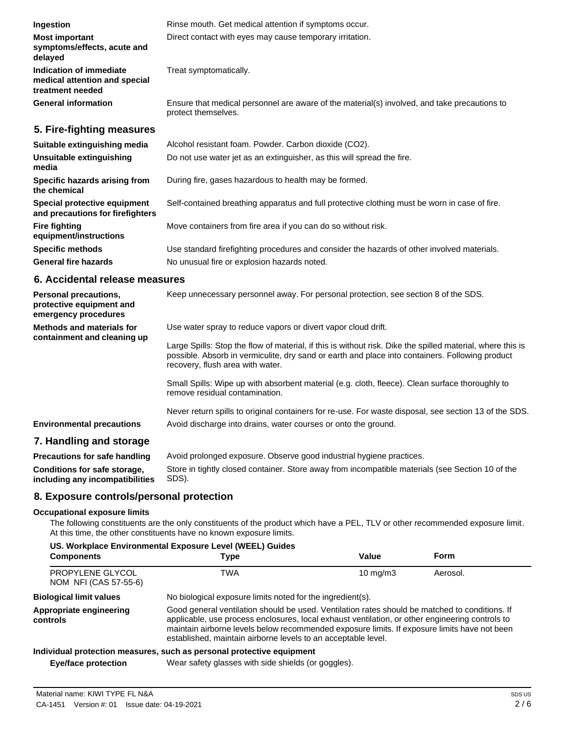| Ingestion<br><b>Most important</b><br>symptoms/effects, acute and<br>delayed | Rinse mouth. Get medical attention if symptoms occur.<br>Direct contact with eyes may cause temporary irritation.   |
|------------------------------------------------------------------------------|---------------------------------------------------------------------------------------------------------------------|
| Indication of immediate<br>medical attention and special<br>treatment needed | Treat symptomatically.                                                                                              |
| <b>General information</b>                                                   | Ensure that medical personnel are aware of the material(s) involved, and take precautions to<br>protect themselves. |
| 5. Fire-fighting measures                                                    |                                                                                                                     |
| Suitable extinguishing media                                                 | Alcohol resistant foam. Powder. Carbon dioxide (CO2).                                                               |
| Unsuitable extinguishing<br>media                                            | Do not use water jet as an extinguisher, as this will spread the fire.                                              |
| Specific hazards arising from<br>the chemical                                | During fire, gases hazardous to health may be formed.                                                               |

**Special protective equipment and precautions for firefighters Fire fighting equipment/instructions Specific methods** Self-contained breathing apparatus and full protective clothing must be worn in case of fire. Move containers from fire area if you can do so without risk. Use standard firefighting procedures and consider the hazards of other involved materials. No unusual fire or explosion hazards noted.

**General fire hazards**

### **6. Accidental release measures**

| <b>Personal precautions,</b><br>protective equipment and<br>emergency procedures                                | Keep unnecessary personnel away. For personal protection, see section 8 of the SDS.                                                                                                                                                                                                                                |
|-----------------------------------------------------------------------------------------------------------------|--------------------------------------------------------------------------------------------------------------------------------------------------------------------------------------------------------------------------------------------------------------------------------------------------------------------|
| <b>Methods and materials for</b><br>containment and cleaning up                                                 | Use water spray to reduce vapors or divert vapor cloud drift.<br>Large Spills: Stop the flow of material, if this is without risk. Dike the spilled material, where this is<br>possible. Absorb in vermiculite, dry sand or earth and place into containers. Following product<br>recovery, flush area with water. |
|                                                                                                                 | Small Spills: Wipe up with absorbent material (e.g. cloth, fleece). Clean surface thoroughly to<br>remove residual contamination.                                                                                                                                                                                  |
| <b>Environmental precautions</b>                                                                                | Never return spills to original containers for re-use. For waste disposal, see section 13 of the SDS.<br>Avoid discharge into drains, water courses or onto the ground.                                                                                                                                            |
| the contract of the contract of the contract of the contract of the contract of the contract of the contract of |                                                                                                                                                                                                                                                                                                                    |

### **7. Handling and storage**

| <b>Precautions for safe handling</b> | Avoid prolonged exposure. Observe good industrial hygiene practices.                             |
|--------------------------------------|--------------------------------------------------------------------------------------------------|
| Conditions for safe storage,         | Store in tightly closed container. Store away from incompatible materials (see Section 10 of the |
| including any incompatibilities      | SDS).                                                                                            |

### **8. Exposure controls/personal protection**

### **Occupational exposure limits**

The following constituents are the only constituents of the product which have a PEL, TLV or other recommended exposure limit. At this time, the other constituents have no known exposure limits.

|                                           | US. Workplace Environmental Exposure Level (WEEL) Guides                                                                                                                                                                                                                                                                                                           |             |          |
|-------------------------------------------|--------------------------------------------------------------------------------------------------------------------------------------------------------------------------------------------------------------------------------------------------------------------------------------------------------------------------------------------------------------------|-------------|----------|
| <b>Components</b>                         | Type                                                                                                                                                                                                                                                                                                                                                               | Value       | Form     |
| PROPYLENE GLYCOL<br>NOM NFI (CAS 57-55-6) | TWA                                                                                                                                                                                                                                                                                                                                                                | 10 mg/m $3$ | Aerosol. |
| <b>Biological limit values</b>            | No biological exposure limits noted for the ingredient(s).                                                                                                                                                                                                                                                                                                         |             |          |
| Appropriate engineering<br>controls       | Good general ventilation should be used. Ventilation rates should be matched to conditions. If<br>applicable, use process enclosures, local exhaust ventilation, or other engineering controls to<br>maintain airborne levels below recommended exposure limits. If exposure limits have not been<br>established, maintain airborne levels to an acceptable level. |             |          |
|                                           | Individual protection measures, such as personal protective equipment                                                                                                                                                                                                                                                                                              |             |          |
| Eye/face protection                       | Wear safety glasses with side shields (or goggles).                                                                                                                                                                                                                                                                                                                |             |          |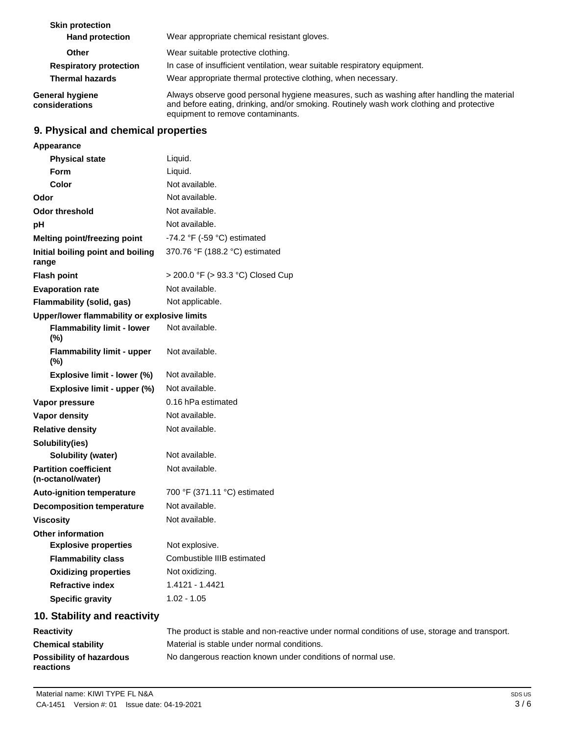| <b>Skin protection</b><br><b>Hand protection</b> | Wear appropriate chemical resistant gloves.                                                                                                                                                                                 |
|--------------------------------------------------|-----------------------------------------------------------------------------------------------------------------------------------------------------------------------------------------------------------------------------|
| Other                                            | Wear suitable protective clothing.                                                                                                                                                                                          |
| <b>Respiratory protection</b>                    | In case of insufficient ventilation, wear suitable respiratory equipment.                                                                                                                                                   |
| <b>Thermal hazards</b>                           | Wear appropriate thermal protective clothing, when necessary.                                                                                                                                                               |
| General hygiene<br>considerations                | Always observe good personal hygiene measures, such as washing after handling the material<br>and before eating, drinking, and/or smoking. Routinely wash work clothing and protective<br>equipment to remove contaminants. |

# **9. Physical and chemical properties**

| <b>Appearance</b>                                 |                                               |
|---------------------------------------------------|-----------------------------------------------|
| <b>Physical state</b>                             | Liquid.                                       |
| <b>Form</b>                                       | Liquid.                                       |
| Color                                             | Not available.                                |
| Odor                                              | Not available.                                |
| <b>Odor threshold</b>                             | Not available.                                |
| pH                                                | Not available.                                |
| Melting point/freezing point                      | -74.2 $\degree$ F (-59 $\degree$ C) estimated |
| Initial boiling point and boiling<br>range        | 370.76 °F (188.2 °C) estimated                |
| <b>Flash point</b>                                | > 200.0 °F (> 93.3 °C) Closed Cup             |
| <b>Evaporation rate</b>                           | Not available.                                |
| Flammability (solid, gas)                         | Not applicable.                               |
| Upper/lower flammability or explosive limits      |                                               |
| <b>Flammability limit - lower</b><br>(%)          | Not available.                                |
| <b>Flammability limit - upper</b><br>(%)          | Not available.                                |
| Explosive limit - lower (%)                       | Not available.                                |
| Explosive limit - upper (%)                       | Not available.                                |
| Vapor pressure                                    | 0.16 hPa estimated                            |
| Vapor density                                     | Not available.                                |
| <b>Relative density</b>                           | Not available.                                |
| Solubility(ies)                                   |                                               |
| Solubility (water)                                | Not available.                                |
| <b>Partition coefficient</b><br>(n-octanol/water) | Not available.                                |
| <b>Auto-ignition temperature</b>                  | 700 °F (371.11 °C) estimated                  |
| <b>Decomposition temperature</b>                  | Not available.                                |
| <b>Viscosity</b>                                  | Not available.                                |
| <b>Other information</b>                          |                                               |
| <b>Explosive properties</b>                       | Not explosive.                                |
| <b>Flammability class</b>                         | Combustible IIIB estimated                    |
| <b>Oxidizing properties</b>                       | Not oxidizing.                                |
| <b>Refractive index</b>                           | 1.4121 - 1.4421                               |
| <b>Specific gravity</b>                           | $1.02 - 1.05$                                 |
| 10. Stability and reactivity                      |                                               |

| <b>Reactivity</b>                            | The product is stable and non-reactive under normal conditions of use, storage and transport. |
|----------------------------------------------|-----------------------------------------------------------------------------------------------|
| <b>Chemical stability</b>                    | Material is stable under normal conditions.                                                   |
| <b>Possibility of hazardous</b><br>reactions | No dangerous reaction known under conditions of normal use.                                   |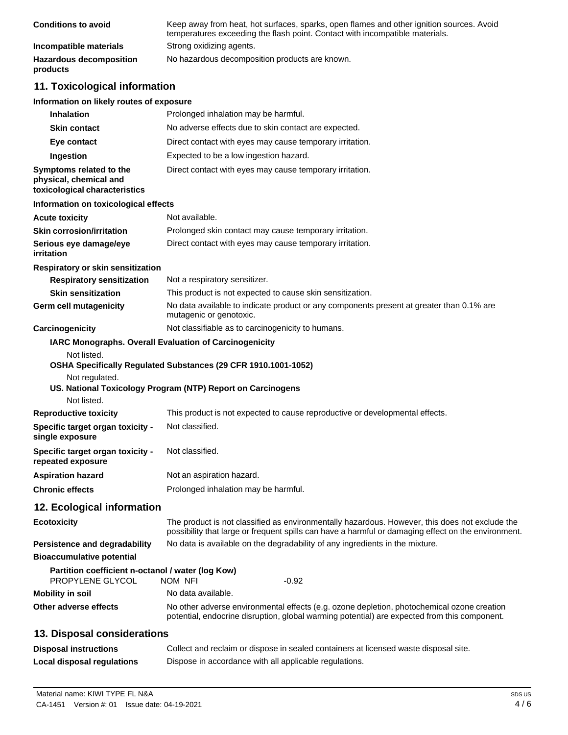| <b>Conditions to avoid</b>                 | Keep away from heat, hot surfaces, sparks, open flames and other ignition sources. Avoid<br>temperatures exceeding the flash point. Contact with incompatible materials. |
|--------------------------------------------|--------------------------------------------------------------------------------------------------------------------------------------------------------------------------|
| Incompatible materials                     | Strong oxidizing agents.                                                                                                                                                 |
| <b>Hazardous decomposition</b><br>products | No hazardous decomposition products are known.                                                                                                                           |

# **11. Toxicological information**

### **Information on likely routes of exposure**

| <b>Inhalation</b>                                                                  | Prolonged inhalation may be harmful.                                                                                                                                                                  |
|------------------------------------------------------------------------------------|-------------------------------------------------------------------------------------------------------------------------------------------------------------------------------------------------------|
| <b>Skin contact</b>                                                                | No adverse effects due to skin contact are expected.                                                                                                                                                  |
| Eye contact                                                                        | Direct contact with eyes may cause temporary irritation.                                                                                                                                              |
| Ingestion                                                                          | Expected to be a low ingestion hazard.                                                                                                                                                                |
| Symptoms related to the<br>physical, chemical and<br>toxicological characteristics | Direct contact with eyes may cause temporary irritation.                                                                                                                                              |
| Information on toxicological effects                                               |                                                                                                                                                                                                       |
| <b>Acute toxicity</b>                                                              | Not available.                                                                                                                                                                                        |
| <b>Skin corrosion/irritation</b>                                                   | Prolonged skin contact may cause temporary irritation.                                                                                                                                                |
| Serious eye damage/eye<br>irritation                                               | Direct contact with eyes may cause temporary irritation.                                                                                                                                              |
| Respiratory or skin sensitization                                                  |                                                                                                                                                                                                       |
| <b>Respiratory sensitization</b>                                                   | Not a respiratory sensitizer.                                                                                                                                                                         |
| <b>Skin sensitization</b>                                                          | This product is not expected to cause skin sensitization.                                                                                                                                             |
| <b>Germ cell mutagenicity</b>                                                      | No data available to indicate product or any components present at greater than 0.1% are<br>mutagenic or genotoxic.                                                                                   |
| Carcinogenicity                                                                    | Not classifiable as to carcinogenicity to humans.                                                                                                                                                     |
|                                                                                    | IARC Monographs. Overall Evaluation of Carcinogenicity                                                                                                                                                |
| Not listed.                                                                        | OSHA Specifically Regulated Substances (29 CFR 1910.1001-1052)                                                                                                                                        |
| Not regulated.                                                                     | US. National Toxicology Program (NTP) Report on Carcinogens                                                                                                                                           |
| Not listed.                                                                        |                                                                                                                                                                                                       |
| <b>Reproductive toxicity</b>                                                       | This product is not expected to cause reproductive or developmental effects.                                                                                                                          |
| Specific target organ toxicity -<br>single exposure                                | Not classified.                                                                                                                                                                                       |
| Specific target organ toxicity -<br>repeated exposure                              | Not classified.                                                                                                                                                                                       |
| <b>Aspiration hazard</b>                                                           | Not an aspiration hazard.                                                                                                                                                                             |
| <b>Chronic effects</b>                                                             | Prolonged inhalation may be harmful.                                                                                                                                                                  |
| 12. Ecological information                                                         |                                                                                                                                                                                                       |
| <b>Ecotoxicity</b>                                                                 | The product is not classified as environmentally hazardous. However, this does not exclude the<br>possibility that large or frequent spills can have a harmful or damaging effect on the environment. |
| Persistence and degradability                                                      | No data is available on the degradability of any ingredients in the mixture.                                                                                                                          |
| <b>Bioaccumulative potential</b>                                                   |                                                                                                                                                                                                       |
| Partition coefficient n-octanol / water (log Kow)<br>PROPYLENE GLYCOL              | $-0.92$<br>NOM NFI                                                                                                                                                                                    |
| <b>Mobility in soil</b>                                                            | No data available.                                                                                                                                                                                    |
| Other adverse effects                                                              | No other adverse environmental effects (e.g. ozone depletion, photochemical ozone creation<br>potential, endocrine disruption, global warming potential) are expected from this component.            |
| 13. Disposal considerations                                                        |                                                                                                                                                                                                       |
| <b>Disposal instructions</b>                                                       | Collect and reclaim or dispose in sealed containers at licensed waste disposal site.                                                                                                                  |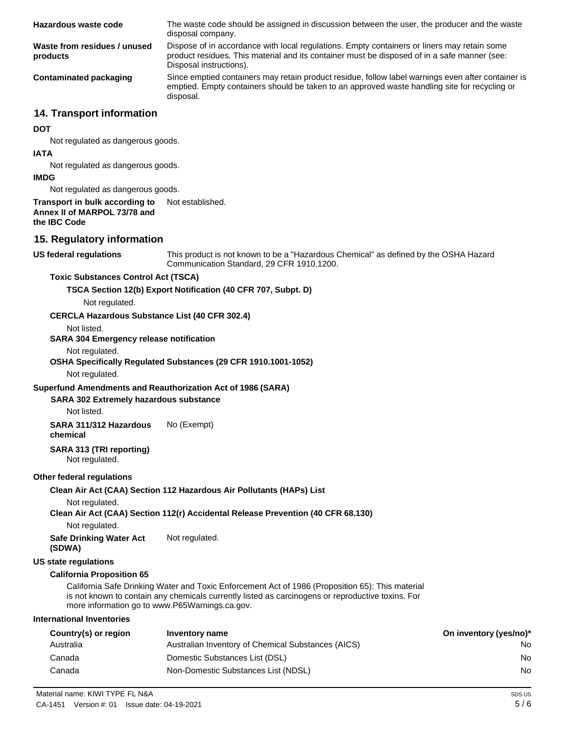| Hazardous waste code                     | The waste code should be assigned in discussion between the user, the producer and the waste<br>disposal company.                                                                                                      |
|------------------------------------------|------------------------------------------------------------------------------------------------------------------------------------------------------------------------------------------------------------------------|
| Waste from residues / unused<br>products | Dispose of in accordance with local regulations. Empty containers or liners may retain some<br>product residues. This material and its container must be disposed of in a safe manner (see:<br>Disposal instructions). |
| Contaminated packaging                   | Since emptied containers may retain product residue, follow label warnings even after container is<br>emptied. Empty containers should be taken to an approved waste handling site for recycling or<br>disposal.       |

### **14. Transport information**

### **DOT**

Not regulated as dangerous goods.

### **IATA**

Not regulated as dangerous goods.

#### **IMDG**

Not regulated as dangerous goods.

#### **Transport in bulk according to Annex II of MARPOL 73/78 and the IBC Code** Not established.

### **15. Regulatory information**

#### **US federal regulations**

This product is not known to be a "Hazardous Chemical" as defined by the OSHA Hazard Communication Standard, 29 CFR 1910.1200.

### **Toxic Substances Control Act (TSCA)**

**TSCA Section 12(b) Export Notification (40 CFR 707, Subpt. D)**

### Not regulated.

#### **CERCLA Hazardous Substance List (40 CFR 302.4)**

Not listed.

#### **SARA 304 Emergency release notification**

#### Not regulated.

#### **OSHA Specifically Regulated Substances (29 CFR 1910.1001-1052)**

Not regulated.

### **Superfund Amendments and Reauthorization Act of 1986 (SARA)**

### **SARA 302 Extremely hazardous substance**

Not listed.

**SARA 311/312 Hazardous chemical** No (Exempt)

# **SARA 313 (TRI reporting)**

Not regulated.

### **Other federal regulations**

### **Clean Air Act (CAA) Section 112 Hazardous Air Pollutants (HAPs) List**

Not regulated.

### **Clean Air Act (CAA) Section 112(r) Accidental Release Prevention (40 CFR 68.130)**

Not regulated.

**Safe Drinking Water Act (SDWA)** Not regulated.

### **US state regulations**

### **California Proposition 65**

California Safe Drinking Water and Toxic Enforcement Act of 1986 (Proposition 65): This material is not known to contain any chemicals currently listed as carcinogens or reproductive toxins. For more information go to [www.P65Warnings.ca.gov.](http://www.p65warnings.ca.gov/)

### **International Inventories**

| Country(s) or region | Inventory name                                     | On inventory (yes/no)* |
|----------------------|----------------------------------------------------|------------------------|
| Australia            | Australian Inventory of Chemical Substances (AICS) | No                     |
| Canada               | Domestic Substances List (DSL)                     | No                     |
| Canada               | Non-Domestic Substances List (NDSL)                | No                     |